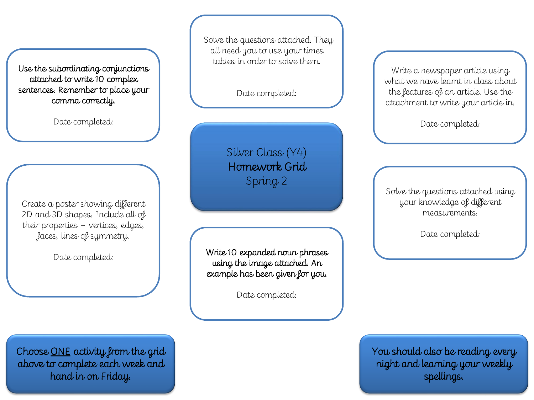Use the subordinating conjunctions attached to write 10 complex sentences. Remember to place your comma correctly.

Date completed:

Create a poster showing different 2D and 3D shapes. Include all of their properties – vertices, edges, faces, lines of symmetry.

Date completed:

Solve the questions attached. They all need you to use your times tables in order to solve them.

Date completed:

Silver Class (Y4) Homework Grid Spring 2

Write 10 expanded noun phrases using the image attached. An example has been given for you.

Date completed:

Write a newspaper article using what we have learnt in class about the features of an article. Use the attachment to write your article in.

Date completed:

Solve the questions attached using your knowledge of different measurements.

Date completed:

You should also be reading every night and learning your weekly spellings.

Choose ONE activity from the grid above to complete each week and hand in on Friday.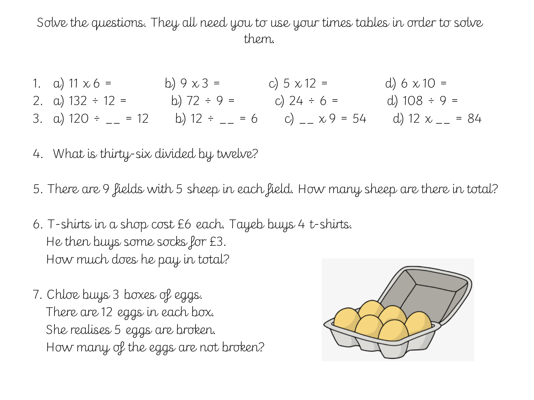Solve the questions. They all need you to use your times tables in order to solve them.

- 1. a)  $11 \times 6 =$  b)  $9 \times 3 =$  c)  $5 \times 12 =$  d)  $6 \times 10 =$ 2. a)  $132 \div 12 =$  b)  $72 \div 9 =$  c)  $24 \div 6 =$  d)  $108 \div 9 =$ 3. a)  $120 \div \_ = 12$  b)  $12 \div \_ = 6$  c)  $\_ x 9 = 54$  d)  $12 x \_ = 84$
- 4. What is thirty-six divided by twelve?
- 5. There are 9 fields with 5 sheep in each field. How many sheep are there in total?
- 6. T-shirts in a shop cost £6 each. Tayeb buys 4 t-shirts. He then buys some socks for £3. How much does he pay in total?
- 7. Chloe buys 3 boxes of eggs. There are 12 eggs in each box. She realises 5 eggs are broken. How many of the eggs are not broken?

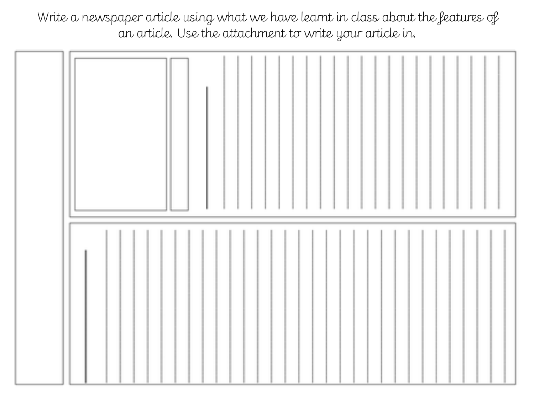Write a newspaper article using what we have learnt in class about the features of an article. Use the attachment to write your article in.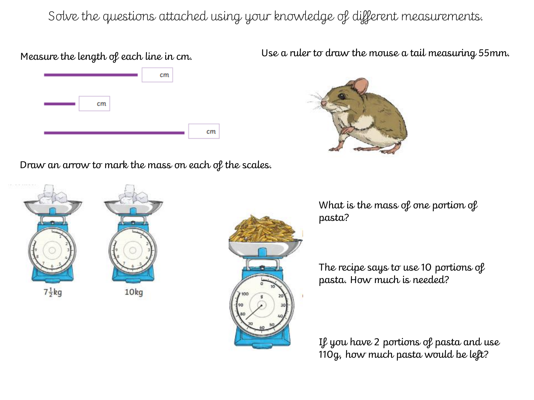Solve the questions attached using your knowledge of different measurements.

## Measure the length of each line in cm.



Draw an arrow to mark the mass on each of the scales.

 $7\frac{1}{2}$ kg 10<sub>kg</sub>



Use a ruler to draw the mouse a tail measuring 55mm.



What is the mass of one portion of pasta?

The recipe says to use 10 portions of pasta. How much is needed?

If you have 2 portions of pasta and use 110g, how much pasta would be left?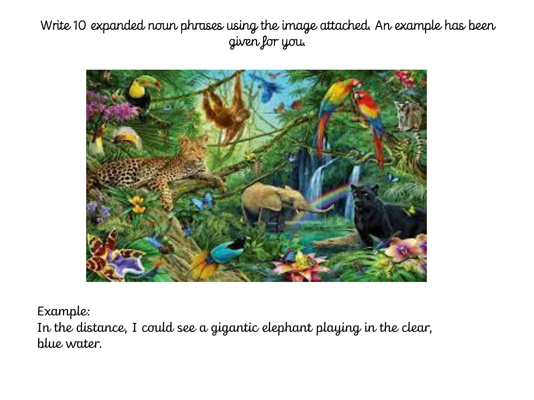Write 10 expanded noun phrases using the image attached. An example has been given for you.



Example:

In the distance, I could see a gigantic elephant playing in the clear, blue water.